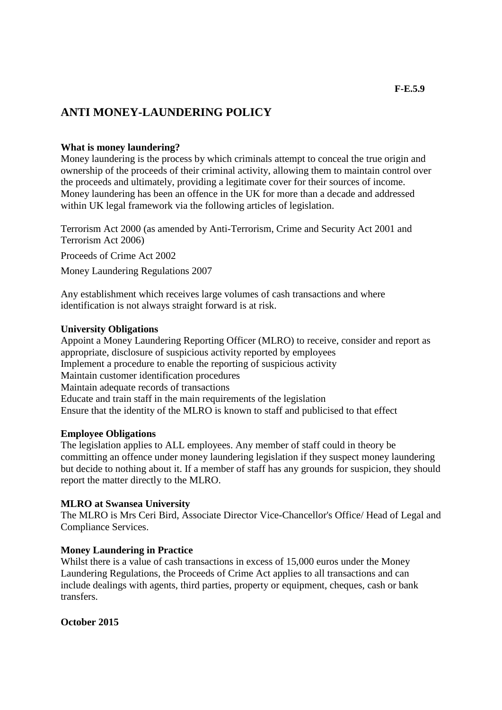# **ANTI MONEY-LAUNDERING POLICY**

### **What is money laundering?**

Money laundering is the process by which criminals attempt to conceal the true origin and ownership of the proceeds of their criminal activity, allowing them to maintain control over the proceeds and ultimately, providing a legitimate cover for their sources of income. Money laundering has been an offence in the UK for more than a decade and addressed within UK legal framework via the following articles of legislation.

Terrorism Act 2000 (as amended by Anti-Terrorism, Crime and Security Act 2001 and Terrorism Act 2006)

Proceeds of Crime Act 2002

Money Laundering Regulations 2007

Any establishment which receives large volumes of cash transactions and where identification is not always straight forward is at risk.

#### **University Obligations**

Appoint a Money Laundering Reporting Officer (MLRO) to receive, consider and report as appropriate, disclosure of suspicious activity reported by employees Implement a procedure to enable the reporting of suspicious activity Maintain customer identification procedures Maintain adequate records of transactions Educate and train staff in the main requirements of the legislation Ensure that the identity of the MLRO is known to staff and publicised to that effect

#### **Employee Obligations**

The legislation applies to ALL employees. Any member of staff could in theory be committing an offence under money laundering legislation if they suspect money laundering but decide to nothing about it. If a member of staff has any grounds for suspicion, they should report the matter directly to the MLRO.

#### **MLRO at Swansea University**

The MLRO is Mrs Ceri Bird, Associate Director Vice-Chancellor's Office/ Head of Legal and Compliance Services.

### **Money Laundering in Practice**

Whilst there is a value of cash transactions in excess of 15,000 euros under the Money Laundering Regulations, the Proceeds of Crime Act applies to all transactions and can include dealings with agents, third parties, property or equipment, cheques, cash or bank transfers.

**October 2015**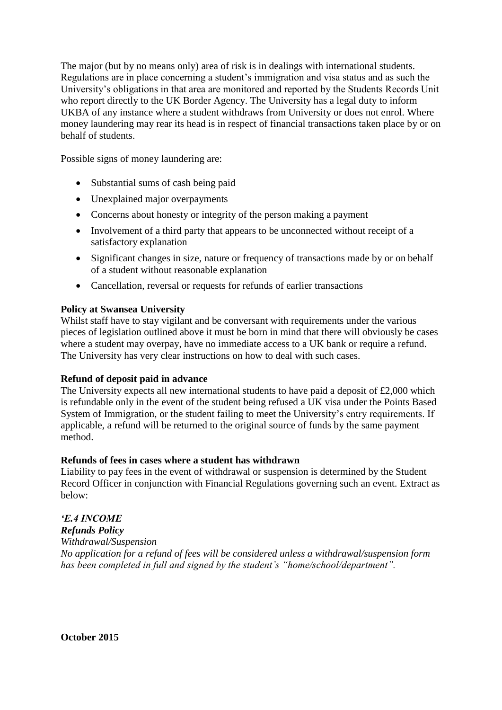The major (but by no means only) area of risk is in dealings with international students. Regulations are in place concerning a student's immigration and visa status and as such the University's obligations in that area are monitored and reported by the Students Records Unit who report directly to the UK Border Agency. The University has a legal duty to inform UKBA of any instance where a student withdraws from University or does not enrol. Where money laundering may rear its head is in respect of financial transactions taken place by or on behalf of students.

Possible signs of money laundering are:

- Substantial sums of cash being paid
- Unexplained major overpayments
- Concerns about honesty or integrity of the person making a payment
- Involvement of a third party that appears to be unconnected without receipt of a satisfactory explanation
- Significant changes in size, nature or frequency of transactions made by or on behalf of a student without reasonable explanation
- Cancellation, reversal or requests for refunds of earlier transactions

# **Policy at Swansea University**

Whilst staff have to stay vigilant and be conversant with requirements under the various pieces of legislation outlined above it must be born in mind that there will obviously be cases where a student may overpay, have no immediate access to a UK bank or require a refund. The University has very clear instructions on how to deal with such cases.

### **Refund of deposit paid in advance**

The University expects all new international students to have paid a deposit of £2,000 which is refundable only in the event of the student being refused a UK visa under the Points Based System of Immigration, or the student failing to meet the University's entry requirements. If applicable, a refund will be returned to the original source of funds by the same payment method.

### **Refunds of fees in cases where a student has withdrawn**

Liability to pay fees in the event of withdrawal or suspension is determined by the Student Record Officer in conjunction with Financial Regulations governing such an event. Extract as below:

# *'E.4 INCOME*

*Refunds Policy Withdrawal/Suspension No application for a refund of fees will be considered unless a withdrawal/suspension form has been completed in full and signed by the student's "home/school/department".*